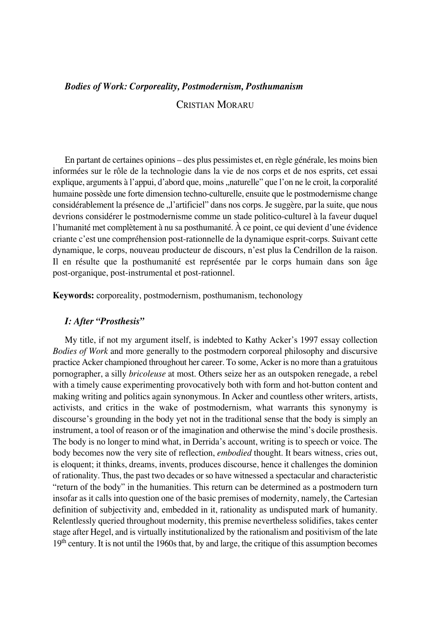# *Bodies of Work: Corporeality, Postmodernism, Posthumanism* CRISTIAN MORARU

En partant de certaines opinions – des plus pessimistes et, en règle générale, les moins bien informées sur le rôle de la technologie dans la vie de nos corps et de nos esprits, cet essai explique, arguments à l'appui, d'abord que, moins "naturelle" que l'on ne le croit, la corporalité humaine possède une forte dimension techno-culturelle, ensuite que le postmodernisme change considérablement la présence de "l'artificiel" dans nos corps. Je suggère, par la suite, que nous devrions considérer le postmodernisme comme un stade politico-culturel à la faveur duquel l'humanité met complètement à nu sa posthumanité. À ce point, ce qui devient d'une évidence criante c'est une compréhension post-rationnelle de la dynamique esprit-corps. Suivant cette dynamique, le corps, nouveau producteur de discours, n'est plus la Cendrillon de la raison. Il en résulte que la posthumanité est représentée par le corps humain dans son âge post-organique, post-instrumental et post-rationnel.

**Keywords:** corporeality, postmodernism, posthumanism, techonology

# *I: After "Prosthesis"*

My title, if not my argument itself, is indebted to Kathy Acker's 1997 essay collection *Bodies of Work* and more generally to the postmodern corporeal philosophy and discursive practice Acker championed throughout her career. To some, Acker is no more than a gratuitous pornographer, a silly *bricoleuse* at most. Others seize her as an outspoken renegade, a rebel with a timely cause experimenting provocatively both with form and hot-button content and making writing and politics again synonymous. In Acker and countless other writers, artists, activists, and critics in the wake of postmodernism, what warrants this synonymy is discourse's grounding in the body yet not in the traditional sense that the body is simply an instrument, a tool of reason or of the imagination and otherwise the mind's docile prosthesis. The body is no longer to mind what, in Derrida's account, writing is to speech or voice. The body becomes now the very site of reflection, *embodied* thought. It bears witness, cries out, is eloquent; it thinks, dreams, invents, produces discourse, hence it challenges the dominion of rationality. Thus, the past two decades or so have witnessed a spectacular and characteristic "return of the body" in the humanities. This return can be determined as a postmodern turn insofar as it calls into question one of the basic premises of modernity, namely, the Cartesian definition of subjectivity and, embedded in it, rationality as undisputed mark of humanity. Relentlessly queried throughout modernity, this premise nevertheless solidifies, takes center stage after Hegel, and is virtually institutionalized by the rationalism and positivism of the late 19<sup>th</sup> century. It is not until the 1960s that, by and large, the critique of this assumption becomes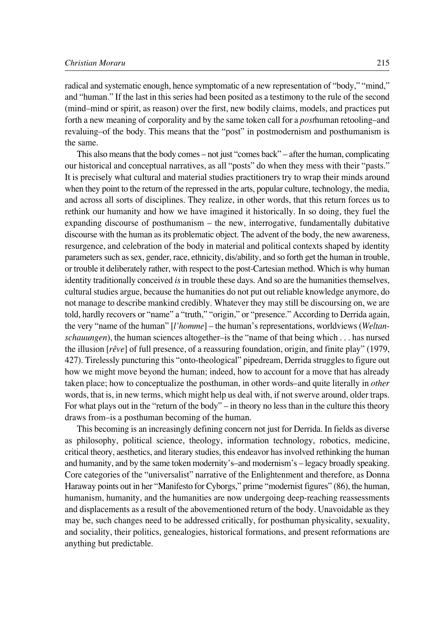radical and systematic enough, hence symptomatic of a new representation of "body," "mind," and "human." If the last in this series had been posited as a testimony to the rule of the second (mind–mind or spirit, as reason) over the first, new bodily claims, models, and practices put forth a new meaning of corporality and by the same token call for a *post*human retooling–and revaluing–of the body. This means that the "post" in postmodernism and posthumanism is the same.

This also means that the body comes – not just "comes back" – after the human, complicating our historical and conceptual narratives, as all "posts" do when they mess with their "pasts." It is precisely what cultural and material studies practitioners try to wrap their minds around when they point to the return of the repressed in the arts, popular culture, technology, the media, and across all sorts of disciplines. They realize, in other words, that this return forces us to rethink our humanity and how we have imagined it historically. In so doing, they fuel the expanding discourse of posthumanism – the new, interrogative, fundamentally dubitative discourse with the human as its problematic object. The advent of the body, the new awareness, resurgence, and celebration of the body in material and political contexts shaped by identity parameters such as sex, gender, race, ethnicity, dis/ability, and so forth get the human in trouble, or trouble it deliberately rather, with respect to the post-Cartesian method. Which is why human identity traditionally conceived *is* in trouble these days. And so are the humanities themselves, cultural studies argue, because the humanities do not put out reliable knowledge anymore, do not manage to describe mankind credibly. Whatever they may still be discoursing on, we are told, hardly recovers or "name" a "truth," "origin," or "presence." According to Derrida again, the very "name of the human" [*l'homme*] – the human's representations, worldviews (*Weltanschauungen*), the human sciences altogether–is the "name of that being which . . . has nursed the illusion [*rêve*] of full presence, of a reassuring foundation, origin, and finite play" (1979, 427). Tirelessly puncturing this "onto-theological" pipedream, Derrida struggles to figure out how we might move beyond the human; indeed, how to account for a move that has already taken place; how to conceptualize the posthuman, in other words–and quite literally in *other* words, that is, in new terms, which might help us deal with, if not swerve around, older traps. For what plays out in the "return of the body" – in theory no less than in the culture this theory draws from–is a posthuman becoming of the human.

This becoming is an increasingly defining concern not just for Derrida. In fields as diverse as philosophy, political science, theology, information technology, robotics, medicine, critical theory, aesthetics, and literary studies, this endeavor has involved rethinking the human and humanity, and by the same token modernity's–and modernism's – legacy broadly speaking. Core categories of the "universalist" narrative of the Enlightenment and therefore, as Donna Haraway points out in her "Manifesto for Cyborgs," prime "modernist figures" (86), the human, humanism, humanity, and the humanities are now undergoing deep-reaching reassessments and displacements as a result of the abovementioned return of the body. Unavoidable as they may be, such changes need to be addressed critically, for posthuman physicality, sexuality, and sociality, their politics, genealogies, historical formations, and present reformations are anything but predictable.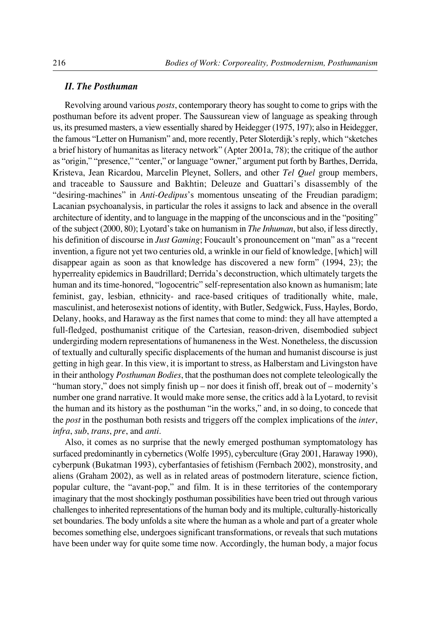### *II. The Posthuman*

Revolving around various *posts*, contemporary theory has sought to come to grips with the posthuman before its advent proper. The Saussurean view of language as speaking through us, its presumed masters, a view essentially shared by Heidegger (1975, 197); also in Heidegger, the famous "Letter on Humanism" and, more recently, Peter Sloterdijk's reply, which "sketches a brief history of humanitas as literacy network" (Apter 2001a, 78); the critique of the author as "origin," "presence," "center," or language "owner," argument put forth by Barthes, Derrida, Kristeva, Jean Ricardou, Marcelin Pleynet, Sollers, and other *Tel Quel* group members, and traceable to Saussure and Bakhtin; Deleuze and Guattari's disassembly of the "desiring-machines" in *Anti-Oedipus*'s momentous unseating of the Freudian paradigm; Lacanian psychoanalysis, in particular the roles it assigns to lack and absence in the overall architecture of identity, and to language in the mapping of the unconscious and in the "positing" of the subject (2000, 80); Lyotard's take on humanism in *The Inhuman*, but also, if less directly, his definition of discourse in *Just Gaming*; Foucault's pronouncement on "man" as a "recent invention, a figure not yet two centuries old, a wrinkle in our field of knowledge, [which] will disappear again as soon as that knowledge has discovered a new form" (1994, 23); the hyperreality epidemics in Baudrillard; Derrida's deconstruction, which ultimately targets the human and its time-honored, "logocentric" self-representation also known as humanism; late feminist, gay, lesbian, ethnicity- and race-based critiques of traditionally white, male, masculinist, and heterosexist notions of identity, with Butler, Sedgwick, Fuss, Hayles, Bordo, Delany, hooks, and Haraway as the first names that come to mind: they all have attempted a full-fledged, posthumanist critique of the Cartesian, reason-driven, disembodied subject undergirding modern representations of humaneness in the West. Nonetheless, the discussion of textually and culturally specific displacements of the human and humanist discourse is just getting in high gear. In this view, it is important to stress, as Halberstam and Livingston have in their anthology *Posthuman Bodies*, that the posthuman does not complete teleologically the "human story," does not simply finish up – nor does it finish off, break out of – modernity's number one grand narrative. It would make more sense, the critics add à la Lyotard, to revisit the human and its history as the posthuman "in the works," and, in so doing, to concede that the *post* in the posthuman both resists and triggers off the complex implications of the *inter*, *infra*, *sub*, *trans*, *pre*, and *anti*.

Also, it comes as no surprise that the newly emerged posthuman symptomatology has surfaced predominantly in cybernetics (Wolfe 1995), cyberculture (Gray 2001, Haraway 1990), cyberpunk (Bukatman 1993), cyberfantasies of fetishism (Fernbach 2002), monstrosity, and aliens (Graham 2002), as well as in related areas of postmodern literature, science fiction, popular culture, the "avant-pop," and film. It is in these territories of the contemporary imaginary that the most shockingly posthuman possibilities have been tried out through various challenges to inherited representations of the human body and its multiple, culturally-historically set boundaries. The body unfolds a site where the human as a whole and part of a greater whole becomes something else, undergoes significant transformations, or reveals that such mutations have been under way for quite some time now. Accordingly, the human body, a major focus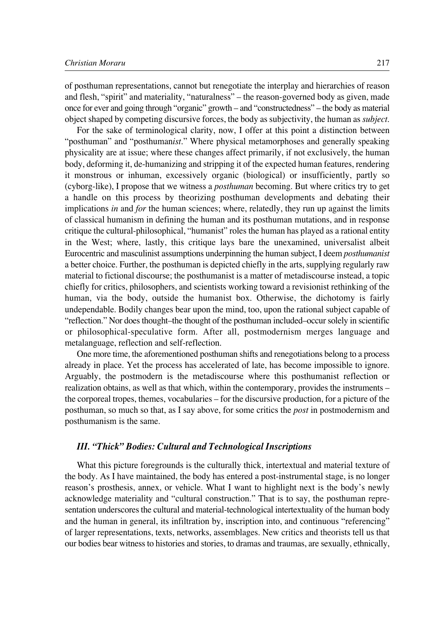of posthuman representations, cannot but renegotiate the interplay and hierarchies of reason and flesh, "spirit" and materiality, "naturalness" – the reason-governed body as given, made once for ever and going through "organic" growth – and "constructedness" – the body as material object shaped by competing discursive forces, the body as subjectivity, the human as *subject*.

For the sake of terminological clarity, now, I offer at this point a distinction between "posthuman" and "posthuman*ist*." Where physical metamorphoses and generally speaking physicality are at issue; where these changes affect primarily, if not exclusively, the human body, deforming it, de-humanizing and stripping it of the expected human features, rendering it monstrous or inhuman, excessively organic (biological) or insufficiently, partly so (cyborg°like), I propose that we witness a *posthuman* becoming. But where critics try to get a handle on this process by theorizing posthuman developments and debating their implications *in* and *for* the human sciences; where, relatedly, they run up against the limits of classical humanism in defining the human and its posthuman mutations, and in response critique the cultural-philosophical, "humanist" roles the human has played as a rational entity in the West; where, lastly, this critique lays bare the unexamined, universalist albeit Eurocentric and masculinist assumptions underpinning the human subject, I deem *posthumanist* a better choice. Further, the posthuman is depicted chiefly in the arts, supplying regularly raw material to fictional discourse; the posthumanist is a matter of metadiscourse instead, a topic chiefly for critics, philosophers, and scientists working toward a revisionist rethinking of the human, via the body, outside the humanist box. Otherwise, the dichotomy is fairly undependable. Bodily changes bear upon the mind, too, upon the rational subject capable of "reflection." Nor does thought–the thought of the posthuman included–occur solely in scientific or philosophical°speculative form. After all, postmodernism merges language and metalanguage, reflection and self-reflection.

One more time, the aforementioned posthuman shifts and renegotiations belong to a process already in place. Yet the process has accelerated of late, has become impossible to ignore. Arguably, the postmodern is the metadiscourse where this posthumanist reflection or realization obtains, as well as that which, within the contemporary, provides the instruments – the corporeal tropes, themes, vocabularies – for the discursive production, for a picture of the posthuman, so much so that, as I say above, for some critics the *post* in postmodernism and posthumanism is the same.

## *III. "Thick" Bodies: Cultural and Technological Inscriptions*

What this picture foregrounds is the culturally thick, intertextual and material texture of the body. As I have maintained, the body has entered a post-instrumental stage, is no longer reason's prosthesis, annex, or vehicle. What I want to highlight next is the body's newly acknowledge materiality and "cultural construction." That is to say, the posthuman representation underscores the cultural and material-technological intertextuality of the human body and the human in general, its infiltration by, inscription into, and continuous "referencing" of larger representations, texts, networks, assemblages. New critics and theorists tell us that our bodies bear witness to histories and stories, to dramas and traumas, are sexually, ethnically,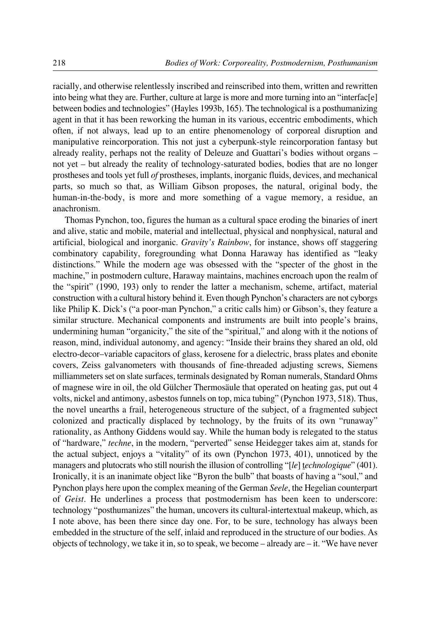racially, and otherwise relentlessly inscribed and reinscribed into them, written and rewritten into being what they are. Further, culture at large is more and more turning into an "interfac[e] between bodies and technologies" (Hayles 1993b, 165). The technological is a posthumanizing agent in that it has been reworking the human in its various, eccentric embodiments, which often, if not always, lead up to an entire phenomenology of corporeal disruption and manipulative reincorporation. This not just a cyberpunk-style reincorporation fantasy but already reality, perhaps not the reality of Deleuze and Guattari's bodies without organs – not yet – but already the reality of technology-saturated bodies, bodies that are no longer prostheses and tools yet full *of* prostheses, implants, inorganic fluids, devices, and mechanical parts, so much so that, as William Gibson proposes, the natural, original body, the human-in-the-body, is more and more something of a vague memory, a residue, an anachronism.

Thomas Pynchon, too, figures the human as a cultural space eroding the binaries of inert and alive, static and mobile, material and intellectual, physical and nonphysical, natural and artificial, biological and inorganic. *Gravity's Rainbow*, for instance, shows off staggering combinatory capability, foregrounding what Donna Haraway has identified as "leaky distinctions." While the modern age was obsessed with the "specter of the ghost in the machine," in postmodern culture, Haraway maintains, machines encroach upon the realm of the "spirit" (1990, 193) only to render the latter a mechanism, scheme, artifact, material construction with a cultural history behind it. Even though Pynchon's characters are not cyborgs like Philip K. Dick's ("a poor-man Pynchon," a critic calls him) or Gibson's, they feature a similar structure. Mechanical components and instruments are built into people's brains, undermining human "organicity," the site of the "spiritual," and along with it the notions of reason, mind, individual autonomy, and agency: "Inside their brains they shared an old, old electro-decor–variable capacitors of glass, kerosene for a dielectric, brass plates and ebonite covers, Zeiss galvanometers with thousands of fine-threaded adjusting screws, Siemens milliammeters set on slate surfaces, terminals designated by Roman numerals, Standard Ohms of magnese wire in oil, the old Gülcher Thermosäule that operated on heating gas, put out 4 volts, nickel and antimony, asbestos funnels on top, mica tubing" (Pynchon 1973, 518). Thus, the novel unearths a frail, heterogeneous structure of the subject, of a fragmented subject colonized and practically displaced by technology, by the fruits of its own "runaway" rationality, as Anthony Giddens would say. While the human body is relegated to the status of "hardware," *techne*, in the modern, "perverted" sense Heidegger takes aim at, stands for the actual subject, enjoys a "vitality" of its own (Pynchon 1973, 401), unnoticed by the managers and plutocrats who still nourish the illusion of controlling "[*le*] t*echnologique*" (401). Ironically, it is an inanimate object like "Byron the bulb" that boasts of having a "soul," and Pynchon plays here upon the complex meaning of the German *Seele*, the Hegelian counterpart of *Geist*. He underlines a process that postmodernism has been keen to underscore: technology "posthumanizes" the human, uncovers its cultural-intertextual makeup, which, as I note above, has been there since day one. For, to be sure, technology has always been embedded in the structure of the self, inlaid and reproduced in the structure of our bodies. As objects of technology, we take it in, so to speak, we become – already are – it. "We have never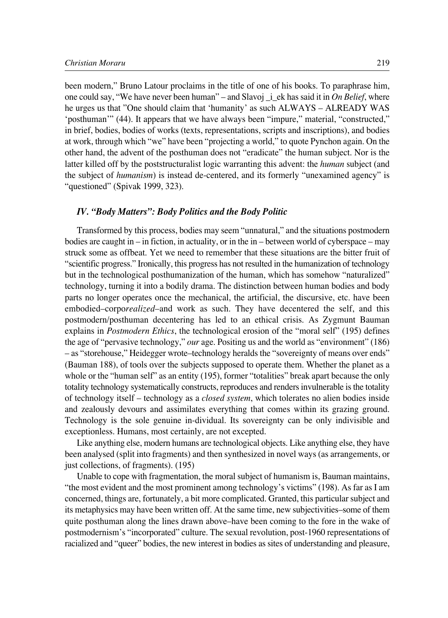been modern," Bruno Latour proclaims in the title of one of his books. To paraphrase him, one could say, "We have never been human" – and Slavoj \_i\_ek has said it in *On Belief*, where he urges us that "One should claim that 'humanity' as such ALWAYS – ALREADY WAS 'posthuman'" (44). It appears that we have always been "impure," material, "constructed," in brief, bodies, bodies of works (texts, representations, scripts and inscriptions), and bodies at work, through which "we" have been "projecting a world," to quote Pynchon again. On the other hand, the advent of the posthuman does not "eradicate" the human subject. Nor is the latter killed off by the poststructuralist logic warranting this advent: the *human* subject (and the subject of *humanism*) is instead de-centered, and its formerly "unexamined agency" is "questioned" (Spivak 1999, 323).

### *IV. "Body Matters": Body Politics and the Body Politic*

Transformed by this process, bodies may seem "unnatural," and the situations postmodern bodies are caught in – in fiction, in actuality, or in the in – between world of cyberspace – may struck some as offbeat. Yet we need to remember that these situations are the bitter fruit of "scientific progress." Ironically, this progress has not resulted in the humanization of technology but in the technological posthumanization of the human, which has somehow "naturalized" technology, turning it into a bodily drama. The distinction between human bodies and body parts no longer operates once the mechanical, the artificial, the discursive, etc. have been embodied–corpo*realized*–and work as such. They have decentered the self, and this postmodern/posthuman decentering has led to an ethical crisis. As Zygmunt Bauman explains in *Postmodern Ethics*, the technological erosion of the "moral self" (195) defines the age of "pervasive technology," *our* age. Positing us and the world as "environment" (186) – as "storehouse," Heidegger wrote–technology heralds the "sovereignty of means over ends" (Bauman 188), of tools over the subjects supposed to operate them. Whether the planet as a whole or the "human self" as an entity (195), former "totalities" break apart because the only totality technology systematically constructs, reproduces and renders invulnerable is the totality of technology itself – technology as a *closed system*, which tolerates no alien bodies inside and zealously devours and assimilates everything that comes within its grazing ground. Technology is the sole genuine in-dividual. Its sovereignty can be only indivisible and exceptionless. Humans, most certainly, are not excepted.

Like anything else, modern humans are technological objects. Like anything else, they have been analysed (split into fragments) and then synthesized in novel ways (as arrangements, or just collections, of fragments). (195)

Unable to cope with fragmentation, the moral subject of humanism is, Bauman maintains, "the most evident and the most prominent among technology's victims" (198). As far as I am concerned, things are, fortunately, a bit more complicated. Granted, this particular subject and its metaphysics may have been written off. At the same time, new subjectivities–some of them quite posthuman along the lines drawn above–have been coming to the fore in the wake of postmodernism's "incorporated" culture. The sexual revolution, post-1960 representations of racialized and "queer" bodies, the new interest in bodies as sites of understanding and pleasure,